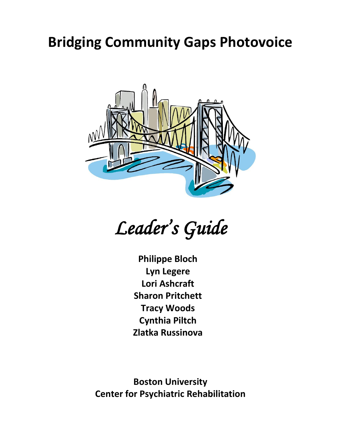# **Bridging Community Gaps Photovoice**



*Leader's Guide* 

**Philippe Bloch Lyn Legere Lori Ashcraft Sharon Pritchett Tracy Woods Cynthia Piltch Zlatka Russinova**

**Boston University Center for Psychiatric Rehabilitation**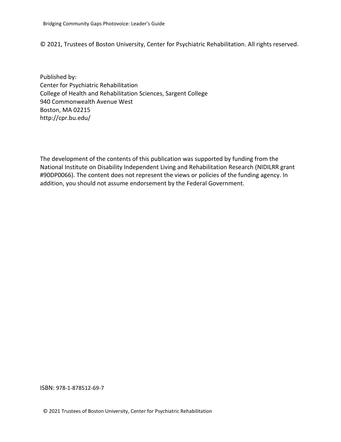© 2021, Trustees of Boston University, Center for Psychiatric Rehabilitation. All rights reserved.

Published by: Center for Psychiatric Rehabilitation College of Health and Rehabilitation Sciences, Sargent College 940 Commonwealth Avenue West Boston, MA 02215 http://cpr.bu.edu/

The development of the contents of this publication was supported by funding from the National Institute on Disability Independent Living and Rehabilitation Research (NIDILRR grant #90DP0066). The content does not represent the views or policies of the funding agency. In addition, you should not assume endorsement by the Federal Government.

ISBN: 978-1-878512-69-7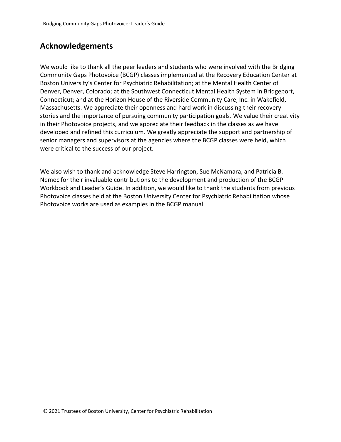# **Acknowledgements**

We would like to thank all the peer leaders and students who were involved with the Bridging Community Gaps Photovoice (BCGP) classes implemented at the Recovery Education Center at Boston University's Center for Psychiatric Rehabilitation; at the Mental Health Center of Denver, Denver, Colorado; at the Southwest Connecticut Mental Health System in Bridgeport, Connecticut; and at the Horizon House of the Riverside Community Care, Inc. in Wakefield, Massachusetts. We appreciate their openness and hard work in discussing their recovery stories and the importance of pursuing community participation goals. We value their creativity in their Photovoice projects, and we appreciate their feedback in the classes as we have developed and refined this curriculum. We greatly appreciate the support and partnership of senior managers and supervisors at the agencies where the BCGP classes were held, which were critical to the success of our project.

We also wish to thank and acknowledge Steve Harrington, Sue McNamara, and Patricia B. Nemec for their invaluable contributions to the development and production of the BCGP Workbook and Leader's Guide. In addition, we would like to thank the students from previous Photovoice classes held at the Boston University Center for Psychiatric Rehabilitation whose Photovoice works are used as examples in the BCGP manual.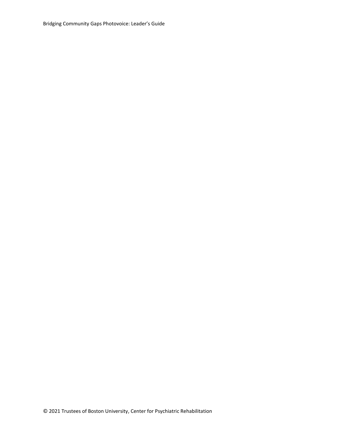Bridging Community Gaps Photovoice: Leader's Guide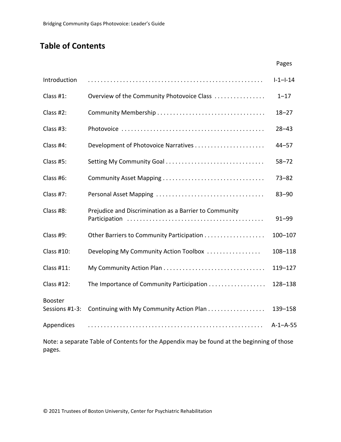# **Table of Contents**

|                                                                                            |                                                        | Pages            |
|--------------------------------------------------------------------------------------------|--------------------------------------------------------|------------------|
| Introduction                                                                               |                                                        | $I - 1 - I - 14$ |
| Class #1:                                                                                  | Overview of the Community Photovoice Class             | $1 - 17$         |
| Class #2:                                                                                  |                                                        | $18 - 27$        |
| Class #3:                                                                                  |                                                        | $28 - 43$        |
| Class #4:                                                                                  |                                                        | $44 - 57$        |
| Class #5:                                                                                  | Setting My Community Goal                              | $58 - 72$        |
| Class #6:                                                                                  | Community Asset Mapping                                | $73 - 82$        |
| Class #7:                                                                                  |                                                        | $83 - 90$        |
| Class #8:                                                                                  | Prejudice and Discrimination as a Barrier to Community | $91 - 99$        |
| Class #9:                                                                                  |                                                        | $100 - 107$      |
| <b>Class #10:</b>                                                                          | Developing My Community Action Toolbox                 | $108 - 118$      |
| Class #11:                                                                                 |                                                        | 119-127          |
| <b>Class #12:</b>                                                                          | The Importance of Community Participation              | 128-138          |
| <b>Booster</b><br>Sessions #1-3:                                                           | Continuing with My Community Action Plan               | 139-158          |
| Appendices                                                                                 |                                                        | $A-1-A-55$       |
| Note: a separate Table of Contents for the Appendix may be found at the beginning of those |                                                        |                  |

pages.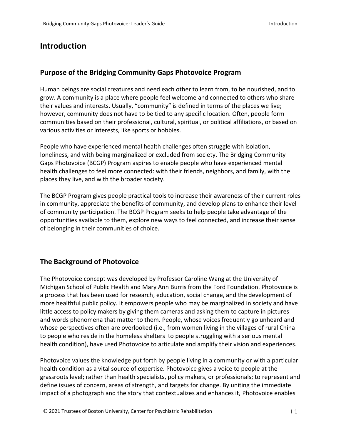# **Introduction**

## **Purpose of the Bridging Community Gaps Photovoice Program**

Human beings are social creatures and need each other to learn from, to be nourished, and to grow. A community is a place where people feel welcome and connected to others who share their values and interests. Usually, "community" is defined in terms of the places we live; however, community does not have to be tied to any specific location. Often, people form communities based on their professional, cultural, spiritual, or political affiliations, or based on various activities or interests, like sports or hobbies.

People who have experienced mental health challenges often struggle with isolation, loneliness, and with being marginalized or excluded from society. The Bridging Community Gaps Photovoice (BCGP) Program aspires to enable people who have experienced mental health challenges to feel more connected: with their friends, neighbors, and family, with the places they live, and with the broader society.

The BCGP Program gives people practical tools to increase their awareness of their current roles in community, appreciate the benefits of community, and develop plans to enhance their level of community participation. The BCGP Program seeks to help people take advantage of the opportunities available to them, explore new ways to feel connected, and increase their sense of belonging in their communities of choice.

# **The Background of Photovoice**

-

The Photovoice concept was developed by Professor Caroline Wang at the University of Michigan School of Public Health and Mary Ann Burris from the Ford Foundation. Photovoice is a process that has been used for research, education, social change, and the development of more healthful public policy. It empowers people who may be marginalized in society and have little access to policy makers by giving them cameras and asking them to capture in pictures and words phenomena that matter to them. People, whose voices frequently go unheard and whose perspectives often are overlooked (i.e., from women living in the villages of rural China to people who reside in the homeless shelters to people struggling with a serious mental health condition), have used Photovoice to articulate and amplify their vision and experiences.

Photovoice values the knowledge put forth by people living in a community or with a particular health condition as a vital source of expertise. Photovoice gives a voice to people at the grassroots level; rather than health specialists, policy makers, or professionals; to represent and define issues of concern, areas of strength, and targets for change. By uniting the immediate impact of a photograph and the story that contextualizes and enhances it, Photovoice enables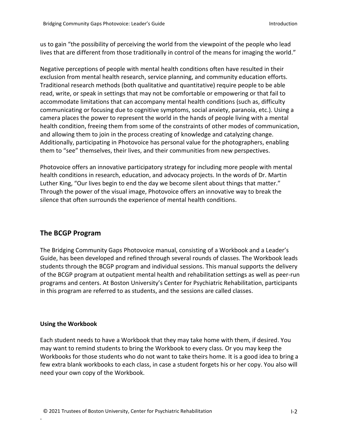us to gain "the possibility of perceiving the world from the viewpoint of the people who lead lives that are different from those traditionally in control of the means for imaging the world."

Negative perceptions of people with mental health conditions often have resulted in their exclusion from mental health research, service planning, and community education efforts. Traditional research methods (both qualitative and quantitative) require people to be able read, write, or speak in settings that may not be comfortable or empowering or that fail to accommodate limitations that can accompany mental health conditions (such as, difficulty communicating or focusing due to cognitive symptoms, social anxiety, paranoia, etc.). Using a camera places the power to represent the world in the hands of people living with a mental health condition, freeing them from some of the constraints of other modes of communication, and allowing them to join in the process creating of knowledge and catalyzing change. Additionally, participating in Photovoice has personal value for the photographers, enabling them to "see" themselves, their lives, and their communities from new perspectives.

Photovoice offers an innovative participatory strategy for including more people with mental health conditions in research, education, and advocacy projects. In the words of Dr. Martin Luther King, "Our lives begin to end the day we become silent about things that matter." Through the power of the visual image, Photovoice offers an innovative way to break the silence that often surrounds the experience of mental health conditions.

### **The BCGP Program**

The Bridging Community Gaps Photovoice manual, consisting of a Workbook and a Leader's Guide, has been developed and refined through several rounds of classes. The Workbook leads students through the BCGP program and individual sessions. This manual supports the delivery of the BCGP program at outpatient mental health and rehabilitation settings as well as peer-run programs and centers. At Boston University's Center for Psychiatric Rehabilitation, participants in this program are referred to as students, and the sessions are called classes.

#### **Using the Workbook**

-

Each student needs to have a Workbook that they may take home with them, if desired. You may want to remind students to bring the Workbook to every class. Or you may keep the Workbooks for those students who do not want to take theirs home. It is a good idea to bring a few extra blank workbooks to each class, in case a student forgets his or her copy. You also will need your own copy of the Workbook.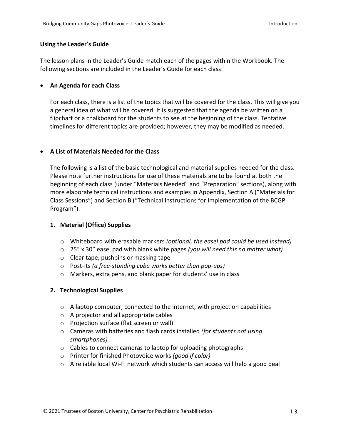#### **Using the Leader's Guide**

The lesson plans in the Leader's Guide match each of the pages within the Workbook. The following sections are included in the Leader's Guide for each class:

#### **An Agenda for each Class**

For each class, there is a list of the topics that will be covered for the class. This will give you a general idea of what will be covered. It is suggested that the agenda be written on a flipchart or a chalkboard for the students to see at the beginning of the class. Tentative timelines for different topics are provided; however, they may be modified as needed.

#### **A List of Materials Needed for the Class**

The following is a list of the basic technological and material supplies needed for the class. Please note further instructions for use of these materials are to be found at both the beginning of each class (under "Materials Needed" and "Preparation" sections), along with more elaborate technical instructions and examples in Appendix, Section A ("Materials for Class Sessions") and Section B ("Technical Instructions for Implementation of the BCGP Program").

#### **1. Material (Office) Supplies**

- o Whiteboard with erasable markers *(optional, the easel pad could be used instead)*
- o 25" x 30" easel pad with blank white pages *(you will need this no matter what)*
- o Clear tape, pushpins or masking tape
- o Post-Its *(a free-standing cube works better than pop-ups)*
- o Markers, extra pens, and blank paper for students' use in class

#### **2. Technological Supplies**

- o A laptop computer, connected to the internet, with projection capabilities
- o A projector and all appropriate cables
- o Projection surface (flat screen or wall)
- o Cameras with batteries and flash cards installed *(for students not using smartphones)*
- o Cables to connect cameras to laptop for uploading photographs
- o Printer for finished Photovoice works *(good if color)*
- o A reliable local Wi-Fi network which students can access will help a good deal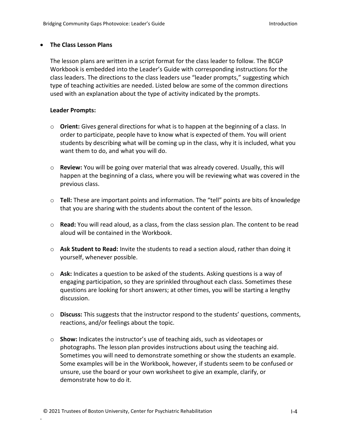#### **The Class Lesson Plans**

The lesson plans are written in a script format for the class leader to follow. The BCGP Workbook is embedded into the Leader's Guide with corresponding instructions for the class leaders. The directions to the class leaders use "leader prompts," suggesting which type of teaching activities are needed. Listed below are some of the common directions used with an explanation about the type of activity indicated by the prompts.

#### **Leader Prompts:**

- o **Orient:** Gives general directions for what is to happen at the beginning of a class. In order to participate, people have to know what is expected of them. You will orient students by describing what will be coming up in the class, why it is included, what you want them to do, and what you will do.
- o **Review:** You will be going over material that was already covered. Usually, this will happen at the beginning of a class, where you will be reviewing what was covered in the previous class.
- o **Tell:** These are important points and information. The "tell" points are bits of knowledge that you are sharing with the students about the content of the lesson.
- o **Read:** You will read aloud, as a class, from the class session plan. The content to be read aloud will be contained in the Workbook.
- o **Ask Student to Read:** Invite the students to read a section aloud, rather than doing it yourself, whenever possible.
- o **Ask:** Indicates a question to be asked of the students. Asking questions is a way of engaging participation, so they are sprinkled throughout each class. Sometimes these questions are looking for short answers; at other times, you will be starting a lengthy discussion.
- o **Discuss:** This suggests that the instructor respond to the students' questions, comments, reactions, and/or feelings about the topic.
- o **Show:** Indicates the instructor's use of teaching aids, such as videotapes or photographs. The lesson plan provides instructions about using the teaching aid. Sometimes you will need to demonstrate something or show the students an example. Some examples will be in the Workbook, however, if students seem to be confused or unsure, use the board or your own worksheet to give an example, clarify, or demonstrate how to do it.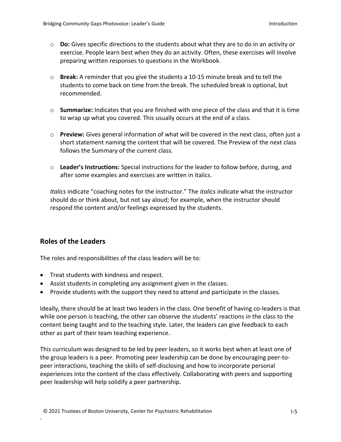- o **Do:** Gives specific directions to the students about what they are to do in an activity or exercise. People learn best when they do an activity. Often, these exercises will involve preparing written responses to questions in the Workbook.
- o **Break:** A reminder that you give the students a 10-15 minute break and to tell the students to come back on time from the break. The scheduled break is optional, but recommended.
- o **Summarize:** Indicates that you are finished with one piece of the class and that it is time to wrap up what you covered. This usually occurs at the end of a class.
- o **Preview:** Gives general information of what will be covered in the next class, often just a short statement naming the content that will be covered. The Preview of the next class follows the Summary of the current class.
- o **Leader's Instructions:** Special instructions for the leader to follow before, during, and after some examples and exercises are written in italics.

*Italics* indicate "coaching notes for the instructor." The *italics* indicate what the instructor should do or think about, but not say aloud; for example, when the instructor should respond the content and/or feelings expressed by the students.

# **Roles of the Leaders**

-

The roles and responsibilities of the class leaders will be to:

- Treat students with kindness and respect.
- Assist students in completing any assignment given in the classes.
- Provide students with the support they need to attend and participate in the classes.

Ideally, there should be at least two leaders in the class. One benefit of having co-leaders is that while one person is teaching, the other can observe the students' reactions in the class to the content being taught and to the teaching style. Later, the leaders can give feedback to each other as part of their team teaching experience.

This curriculum was designed to be led by peer leaders, so it works best when at least one of the group leaders is a peer. Promoting peer leadership can be done by encouraging peer-topeer interactions, teaching the skills of self-disclosing and how to incorporate personal experiences into the content of the class effectively. Collaborating with peers and supporting peer leadership will help solidify a peer partnership.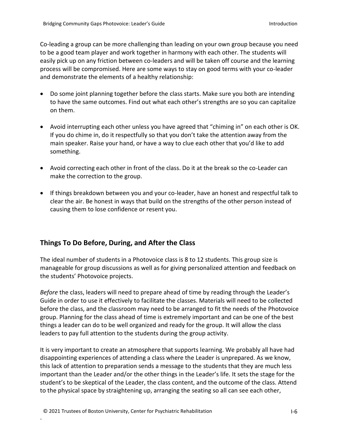Co-leading a group can be more challenging than leading on your own group because you need to be a good team player and work together in harmony with each other. The students will easily pick up on any friction between co-leaders and will be taken off course and the learning process will be compromised. Here are some ways to stay on good terms with your co-leader and demonstrate the elements of a healthy relationship:

- Do some joint planning together before the class starts. Make sure you both are intending to have the same outcomes. Find out what each other's strengths are so you can capitalize on them.
- Avoid interrupting each other unless you have agreed that "chiming in" on each other is OK. If you do chime in, do it respectfully so that you don't take the attention away from the main speaker. Raise your hand, or have a way to clue each other that you'd like to add something.
- Avoid correcting each other in front of the class. Do it at the break so the co-Leader can make the correction to the group.
- If things breakdown between you and your co-leader, have an honest and respectful talk to clear the air. Be honest in ways that build on the strengths of the other person instead of causing them to lose confidence or resent you.

# **Things To Do Before, During, and After the Class**

The ideal number of students in a Photovoice class is 8 to 12 students. This group size is manageable for group discussions as well as for giving personalized attention and feedback on the students' Photovoice projects.

*Before* the class, leaders will need to prepare ahead of time by reading through the Leader's Guide in order to use it effectively to facilitate the classes. Materials will need to be collected before the class, and the classroom may need to be arranged to fit the needs of the Photovoice group. Planning for the class ahead of time is extremely important and can be one of the best things a leader can do to be well organized and ready for the group. It will allow the class leaders to pay full attention to the students during the group activity.

It is very important to create an atmosphere that supports learning. We probably all have had disappointing experiences of attending a class where the Leader is unprepared. As we know, this lack of attention to preparation sends a message to the students that they are much less important than the Leader and/or the other things in the Leader's life. It sets the stage for the student's to be skeptical of the Leader, the class content, and the outcome of the class. Attend to the physical space by straightening up, arranging the seating so all can see each other,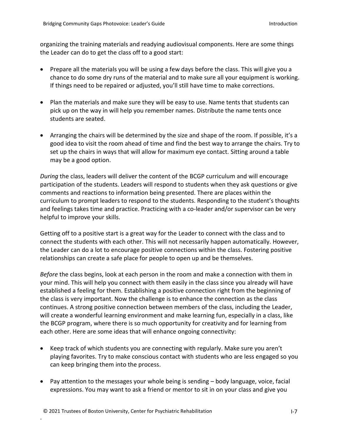organizing the training materials and readying audiovisual components. Here are some things the Leader can do to get the class off to a good start:

- Prepare all the materials you will be using a few days before the class. This will give you a chance to do some dry runs of the material and to make sure all your equipment is working. If things need to be repaired or adjusted, you'll still have time to make corrections.
- Plan the materials and make sure they will be easy to use. Name tents that students can pick up on the way in will help you remember names. Distribute the name tents once students are seated.
- Arranging the chairs will be determined by the size and shape of the room. If possible, it's a good idea to visit the room ahead of time and find the best way to arrange the chairs. Try to set up the chairs in ways that will allow for maximum eye contact. Sitting around a table may be a good option.

*During* the class, leaders will deliver the content of the BCGP curriculum and will encourage participation of the students. Leaders will respond to students when they ask questions or give comments and reactions to information being presented. There are places within the curriculum to prompt leaders to respond to the students. Responding to the student's thoughts and feelings takes time and practice. Practicing with a co-leader and/or supervisor can be very helpful to improve your skills.

Getting off to a positive start is a great way for the Leader to connect with the class and to connect the students with each other. This will not necessarily happen automatically. However, the Leader can do a lot to encourage positive connections within the class. Fostering positive relationships can create a safe place for people to open up and be themselves.

*Before* the class begins, look at each person in the room and make a connection with them in your mind. This will help you connect with them easily in the class since you already will have established a feeling for them. Establishing a positive connection right from the beginning of the class is very important. Now the challenge is to enhance the connection as the class continues. A strong positive connection between members of the class, including the Leader, will create a wonderful learning environment and make learning fun, especially in a class, like the BCGP program, where there is so much opportunity for creativity and for learning from each other. Here are some ideas that will enhance ongoing connectivity:

- Keep track of which students you are connecting with regularly. Make sure you aren't playing favorites. Try to make conscious contact with students who are less engaged so you can keep bringing them into the process.
- Pay attention to the messages your whole being is sending body language, voice, facial expressions. You may want to ask a friend or mentor to sit in on your class and give you